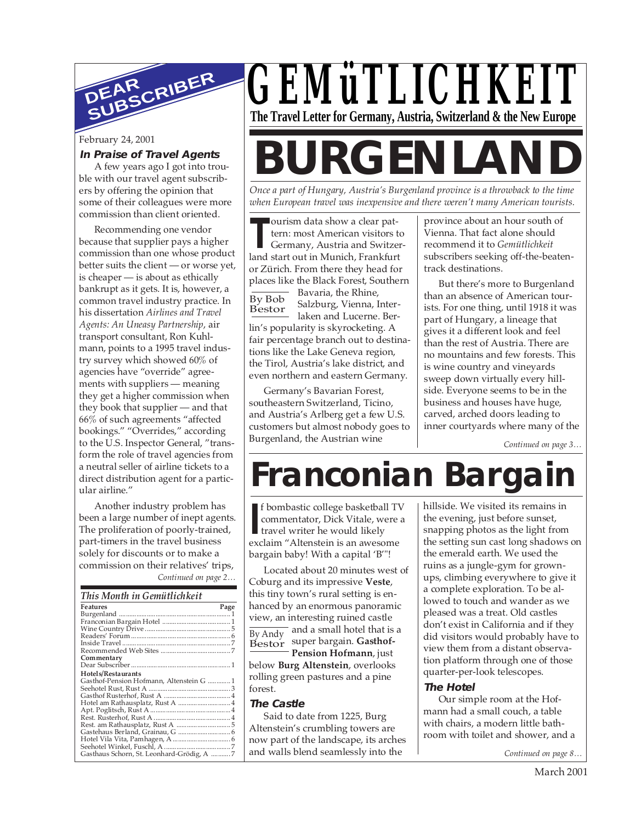

### **In Praise of Travel Agents**

A few years ago I got into trouble with our travel agent subscribers by offering the opinion that some of their colleagues were more commission than client oriented.

Recommending one vendor because that supplier pays a higher commission than one whose product better suits the client — or worse yet, is cheaper — is about as ethically bankrupt as it gets. It is, however, a common travel industry practice. In his dissertation *Airlines and Travel Agents: An Uneasy Partnership*, air transport consultant, Ron Kuhlmann, points to a 1995 travel industry survey which showed 60% of agencies have "override" agreements with suppliers — meaning they get a higher commission when they book that supplier — and that 66% of such agreements "affected bookings." "Overrides," according to the U.S. Inspector General, "transform the role of travel agencies from a neutral seller of airline tickets to a direct distribution agent for a particular airline."

*Continued on page 2…* Another industry problem has been a large number of inept agents. The proliferation of poorly-trained, part-timers in the travel business solely for discounts or to make a commission on their relatives' trips,

| This Month in Gemütlichkeit |  |
|-----------------------------|--|
|-----------------------------|--|

| <b>Features</b>                           | Page |
|-------------------------------------------|------|
|                                           |      |
|                                           |      |
|                                           |      |
|                                           |      |
|                                           |      |
|                                           |      |
| Commentary                                |      |
|                                           |      |
| Hotels/Restaurants                        |      |
| Gasthof-Pension Hofmann, Altenstein G 1   |      |
|                                           |      |
|                                           |      |
|                                           |      |
|                                           |      |
|                                           |      |
|                                           |      |
|                                           |      |
|                                           |      |
|                                           |      |
| Gasthaus Schorn, St. Leonhard-Grödig, A 7 |      |

## *GEMüTLICHKEIT* **The Travel Letter for Germany, Austria, Switzerland & the New Europe**

# February 24, 2001<br>In Praise of Travel Agents<br>A few years ago I got into trou-

*Once a part of Hungary, Austria's Burgenland province is a throwback to the time when European travel was inexpensive and there weren't many American tourists.*

ourism data show a clear pattern: most American visitors to

**THE LAND STAR STAR STARK STARK STARK STARK STARK STARK STARK STARK STARK STARK STARK STARK STARK STARK STARK STARK STARK STARK STARK STARK STARK STARK STARK STARK STARK STARK STARK STARK STARK STARK STARK STARK STARK STAR** Germany, Austria and Switzeror Zürich. From there they head for places like the Black Forest, Southern

Bavaria, the Rhine, Salzburg, Vienna, Interlaken and Lucerne. Berlin's popularity is skyrocketing. A fair percentage branch out to destinations like the Lake Geneva region, the Tirol, Austria's lake district, and even northern and eastern Germany. By Bob Bestor

Germany's Bavarian Forest, southeastern Switzerland, Ticino, and Austria's Arlberg get a few U.S. customers but almost nobody goes to Burgenland, the Austrian wine

province about an hour south of Vienna. That fact alone should recommend it to *Gemütlichkeit* subscribers seeking off-the-beatentrack destinations.

But there's more to Burgenland than an absence of American tourists. For one thing, until 1918 it was part of Hungary, a lineage that gives it a different look and feel than the rest of Austria. There are no mountains and few forests. This is wine country and vineyards sweep down virtually every hillside. Everyone seems to be in the business and houses have huge, carved, arched doors leading to inner courtyards where many of the

*Continued on page 3…*

# **Franconian Bargain**

**I I**commentator, Dick Vitale, were
travel writer he would likely
exclaim "Altenstein is an awesome f bombastic college basketball TV commentator, Dick Vitale, were a travel writer he would likely bargain baby! With a capital 'B'"!

Located about 20 minutes west of Coburg and its impressive **Veste**, this tiny town's rural setting is enhanced by an enormous panoramic view, an interesting ruined castle  $\overline{\text{By Andy}}$  and a small hotel that is a Bestor super bargain. Gasthof-

**Pension Hofmann**, just below **Burg Altenstein**, overlooks rolling green pastures and a pine forest.

### **The Castle**

Said to date from 1225, Burg Altenstein's crumbling towers are now part of the landscape, its arches and walls blend seamlessly into the

hillside. We visited its remains in the evening, just before sunset, snapping photos as the light from the setting sun cast long shadows on the emerald earth. We used the ruins as a jungle-gym for grownups, climbing everywhere to give it a complete exploration. To be allowed to touch and wander as we pleased was a treat. Old castles don't exist in California and if they did visitors would probably have to view them from a distant observation platform through one of those quarter-per-look telescopes.

### **The Hotel**

Our simple room at the Hofmann had a small couch, a table with chairs, a modern little bathroom with toilet and shower, and a

*Continued on page 8…*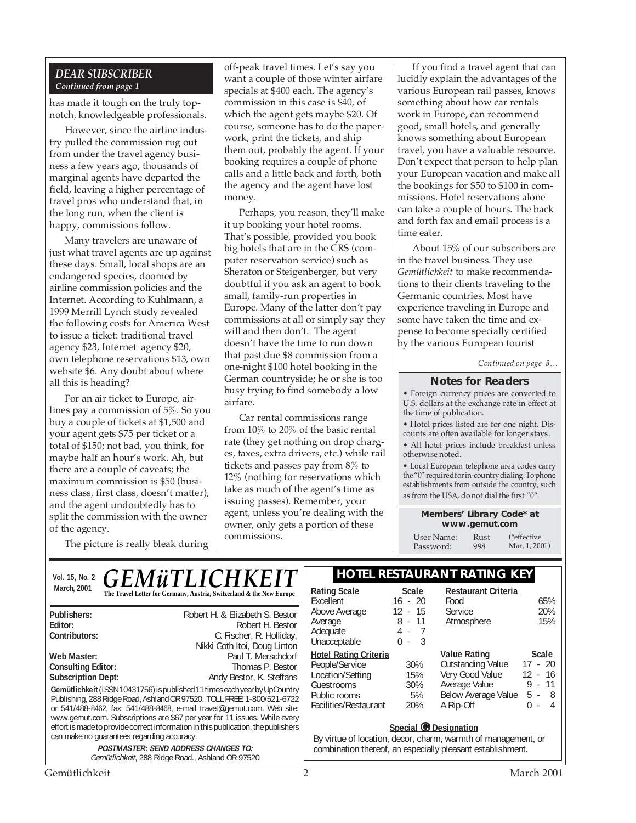### *DEAR SUBSCRIBER Continued from page 1*

has made it tough on the truly topnotch, knowledgeable professionals.

However, since the airline industry pulled the commission rug out from under the travel agency business a few years ago, thousands of marginal agents have departed the field, leaving a higher percentage of travel pros who understand that, in the long run, when the client is happy, commissions follow.

Many travelers are unaware of just what travel agents are up against these days. Small, local shops are an endangered species, doomed by airline commission policies and the Internet. According to Kuhlmann, a 1999 Merrill Lynch study revealed the following costs for America West to issue a ticket: traditional travel agency \$23, Internet agency \$20, own telephone reservations \$13, own website \$6. Any doubt about where all this is heading?

For an air ticket to Europe, airlines pay a commission of 5%. So you buy a couple of tickets at \$1,500 and your agent gets \$75 per ticket or a total of \$150; not bad, you think, for maybe half an hour's work. Ah, but there are a couple of caveats; the maximum commission is \$50 (business class, first class, doesn't matter), and the agent undoubtedly has to split the commission with the owner of the agency.

off-peak travel times. Let's say you want a couple of those winter airfare specials at \$400 each. The agency's commission in this case is \$40, of which the agent gets maybe \$20. Of course, someone has to do the paperwork, print the tickets, and ship them out, probably the agent. If your booking requires a couple of phone calls and a little back and forth, both the agency and the agent have lost money.

Perhaps, you reason, they'll make it up booking your hotel rooms. That's possible, provided you book big hotels that are in the CRS (computer reservation service) such as Sheraton or Steigenberger, but very doubtful if you ask an agent to book small, family-run properties in Europe. Many of the latter don't pay commissions at all or simply say they will and then don't. The agent doesn't have the time to run down that past due \$8 commission from a one-night \$100 hotel booking in the German countryside; he or she is too busy trying to find somebody a low airfare.

Car rental commissions range from 10% to 20% of the basic rental rate (they get nothing on drop charges, taxes, extra drivers, etc.) while rail tickets and passes pay from 8% to 12% (nothing for reservations which take as much of the agent's time as issuing passes). Remember, your agent, unless you're dealing with the owner, only gets a portion of these commissions.

If you find a travel agent that can lucidly explain the advantages of the various European rail passes, knows something about how car rentals work in Europe, can recommend good, small hotels, and generally knows something about European travel, you have a valuable resource. Don't expect that person to help plan your European vacation and make all the bookings for \$50 to \$100 in commissions. Hotel reservations alone can take a couple of hours. The back and forth fax and email process is a time eater.

About 15% of our subscribers are in the travel business. They use *Gemütlichkeit* to make recommendations to their clients traveling to the Germanic countries. Most have experience traveling in Europe and some have taken the time and expense to become specially certified by the various European tourist

*Continued on page 8…*

#### **Notes for Readers**

• Foreign currency prices are converted to U.S. dollars at the exchange rate in effect at the time of publication.

• Hotel prices listed are for one night. Discounts are often available for longer stays.

• All hotel prices include breakfast unless otherwise noted.

• Local European telephone area codes carry the "0" required for in-country dialing. To phone establishments from outside the country, such as from the USA, do not dial the first "0".

> **Members' Library Code\* at www.gemut.com**

User Name: Rust<br>Password: 998 Password: (\*effective Mar. 1, 2001)

The picture is really bleak during

Gemütlichkeit 2 March 2001 **Gemütlichkeit** (ISSN 10431756) is published 11 times each year by UpCountry Publishing, 288 Ridge Road, Ashland OR 97520. TOLL FREE: 1-800/521-6722 or 541/488-8462, fax: 541/488-8468, e-mail travet@gemut.com. Web site: www.gemut.com. Subscriptions are \$67 per year for 11 issues. While every effort is made to provide correct information in this publication, the publishers can make no guarantees regarding accuracy. **POSTMASTER: SEND ADDRESS CHANGES TO:** Gemütlichkeit, 288 Ridge Road., Ashland OR 97520 **Publishers:** Robert H. & Elizabeth S. Bestor **Editor:** Robert H. Bestor **C.** Fischer, R. Holliday, Nikki Goth Itoi, Doug Linton **Web Master:** Paul T. Merschdorf Consulting Editor: **Paul T. Merschdorf** Consulting Editor: **Consulting Editor: Subscription Dept:** Andy Bestor, K. Steffans Vol. 15, No. 2 **CEM** *ii* **TI ICHKEIT HOTEL RESTAURANT RATING KEY** March, 2001 **Rational Scale Rational Scale The Travel Letter for Germany, Austria, Switzerland & the New Europe Rating Scale Scale** Excellent 16 - 20<br>Above Average 12 - 15 Above Average Average 8 - 11 Adequate 4 - 7<br>
Unacceptable 0 - 3 Unacceptable **Hotel Rating Criteria** People/Service 30%<br>
Location/Setting 15% Location/Setting 15%<br>Guestrooms 30% **Guestrooms** Public rooms 5%<br>Facilities/Restaurant 20% Facilities/Restaurant **Restaurant Criteria** Food 65%<br>Service 20% Service 20%<br>Atmosphere 15% Atmosphere **<u>Value Rating</u>**<br> **Cutstanding Value** 17 - 20 Outstanding Value Very Good Value 12 - 16<br>Average Value 9 - 11 Average Value Below Average Value 5 - 8 A Rip-Off 0 - 4 *GEMüTLICHKEIT* **Special © Designation** By virtue of location, decor, charm, warmth of management, or combination thereof, an especially pleasant establishment.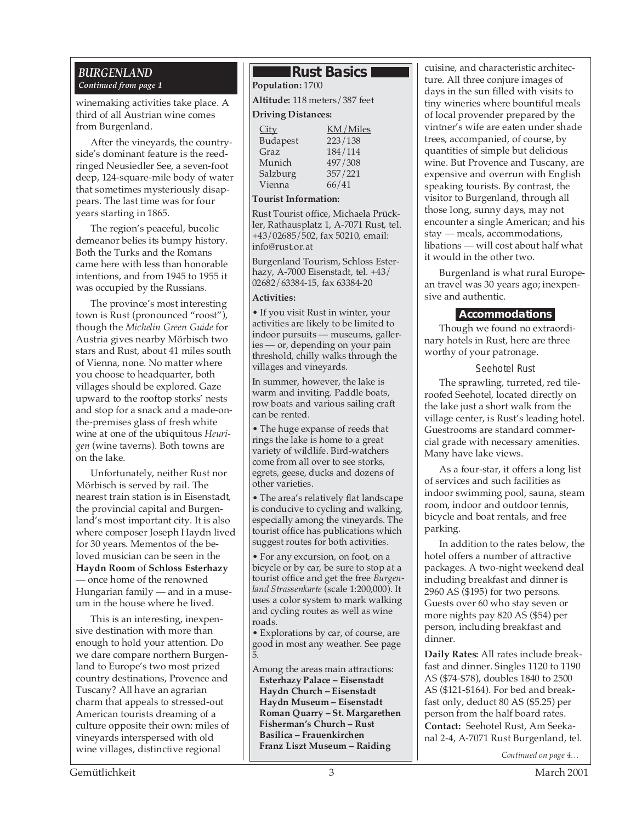### *BURGENLAND Continued from page 1*

winemaking activities take place. A third of all Austrian wine comes from Burgenland.

After the vineyards, the countryside's dominant feature is the reedringed Neusiedler See, a seven-foot deep, 124-square-mile body of water that sometimes mysteriously disappears. The last time was for four years starting in 1865.

The region's peaceful, bucolic demeanor belies its bumpy history. Both the Turks and the Romans came here with less than honorable intentions, and from 1945 to 1955 it was occupied by the Russians.

The province's most interesting town is Rust (pronounced "roost"), though the *Michelin Green Guide* for Austria gives nearby Mörbisch two stars and Rust, about 41 miles south of Vienna, none. No matter where you choose to headquarter, both villages should be explored. Gaze upward to the rooftop storks' nests and stop for a snack and a made-onthe-premises glass of fresh white wine at one of the ubiquitous *Heurigen* (wine taverns). Both towns are on the lake.

Unfortunately, neither Rust nor Mörbisch is served by rail. The nearest train station is in Eisenstadt, the provincial capital and Burgenland's most important city. It is also where composer Joseph Haydn lived for 30 years. Mementos of the beloved musician can be seen in the **Haydn Room** of **Schloss Esterhazy** — once home of the renowned Hungarian family — and in a museum in the house where he lived.

This is an interesting, inexpensive destination with more than enough to hold your attention. Do we dare compare northern Burgenland to Europe's two most prized country destinations, Provence and Tuscany? All have an agrarian charm that appeals to stressed-out American tourists dreaming of a culture opposite their own: miles of vineyards interspersed with old wine villages, distinctive regional

### **Rust Basics I**

**Population:** 1700 **Altitude:** 118 meters/387 feet

### **Driving Distances:**

| City     | KM/Miles |
|----------|----------|
| Budapest | 223/138  |
| Graz     | 184/114  |
| Munich   | 497/308  |
| Salzburg | 357/221  |
| Vienna   | 66/41    |
|          |          |

### **Tourist Information:**

Rust Tourist office, Michaela Prückler, Rathausplatz 1, A-7071 Rust, tel. +43/02685/502, fax 50210, email: info@rust.or.at

Burgenland Tourism, Schloss Esterhazy, A-7000 Eisenstadt, tel. +43/ 02682/63384-15, fax 63384-20

### **Activities:**

• If you visit Rust in winter, your activities are likely to be limited to indoor pursuits — museums, galleries — or, depending on your pain threshold, chilly walks through the villages and vineyards.

In summer, however, the lake is warm and inviting. Paddle boats, row boats and various sailing craft can be rented.

• The huge expanse of reeds that rings the lake is home to a great variety of wildlife. Bird-watchers come from all over to see storks, egrets, geese, ducks and dozens of other varieties.

• The area's relatively flat landscape is conducive to cycling and walking, especially among the vineyards. The tourist office has publications which suggest routes for both activities.

• For any excursion, on foot, on a bicycle or by car, be sure to stop at a tourist office and get the free *Burgenland Strassenkarte* (scale 1:200,000). It uses a color system to mark walking and cycling routes as well as wine roads.

• Explorations by car, of course, are good in most any weather. See page 5.

Among the areas main attractions: **Esterhazy Palace – Eisenstadt Haydn Church – Eisenstadt Haydn Museum – Eisenstadt Roman Quarry – St. Margarethen Fisherman's Church – Rust Basilica – Frauenkirchen Franz Liszt Museum – Raiding**

cuisine, and characteristic architecture. All three conjure images of days in the sun filled with visits to tiny wineries where bountiful meals of local provender prepared by the vintner's wife are eaten under shade trees, accompanied, of course, by quantities of simple but delicious wine. But Provence and Tuscany, are expensive and overrun with English speaking tourists. By contrast, the visitor to Burgenland, through all those long, sunny days, may not encounter a single American; and his stay — meals, accommodations, libations — will cost about half what it would in the other two.

Burgenland is what rural European travel was 30 years ago; inexpensive and authentic.

### **Accommodations**

Though we found no extraordinary hotels in Rust, here are three worthy of your patronage.

### Seehotel Rust

The sprawling, turreted, red tileroofed Seehotel, located directly on the lake just a short walk from the village center, is Rust's leading hotel. Guestrooms are standard commercial grade with necessary amenities. Many have lake views.

As a four-star, it offers a long list of services and such facilities as indoor swimming pool, sauna, steam room, indoor and outdoor tennis, bicycle and boat rentals, and free parking.

In addition to the rates below, the hotel offers a number of attractive packages. A two-night weekend deal including breakfast and dinner is 2960 AS (\$195) for two persons. Guests over 60 who stay seven or more nights pay 820 AS (\$54) per person, including breakfast and dinner.

**Daily Rates:** All rates include breakfast and dinner. Singles 1120 to 1190 AS (\$74-\$78), doubles 1840 to 2500 AS (\$121-\$164). For bed and breakfast only, deduct 80 AS (\$5.25) per person from the half board rates. **Contact:** Seehotel Rust, Am Seekanal 2-4, A-7071 Rust Burgenland, tel.

*Continued on page 4…*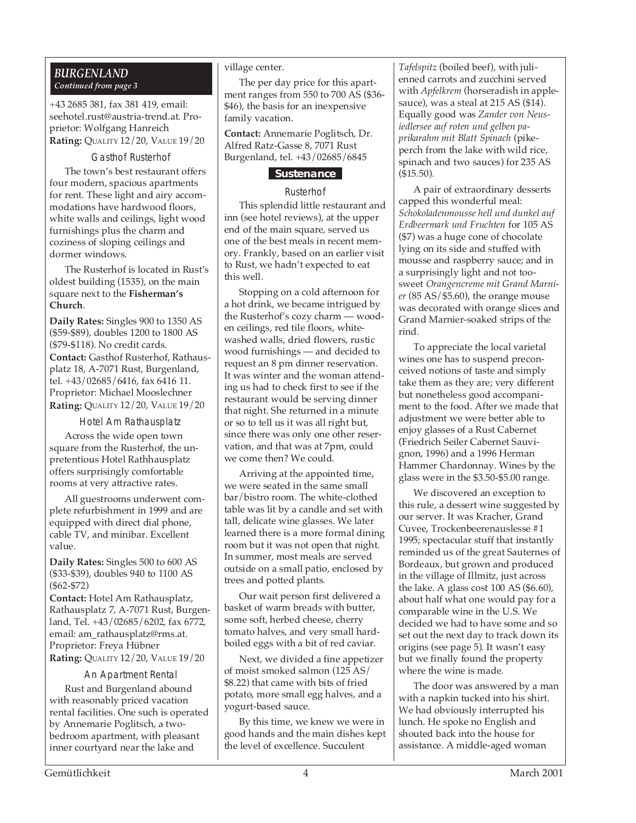### *BURGENLAND Continued from page 3*

+43 2685 381, fax 381 419, email: seehotel.rust@austria-trend.at. Proprietor: Wolfgang Hanreich **Rating:** QUALITY 12/20, VALUE 19/20

Gasthof Rusterhof The town's best restaurant offers four modern, spacious apartments for rent. These light and airy accommodations have hardwood floors, white walls and ceilings, light wood furnishings plus the charm and coziness of sloping ceilings and dormer windows.

The Rusterhof is located in Rust's oldest building (1535), on the main square next to the **Fisherman's Church**.

**Daily Rates:** Singles 900 to 1350 AS (\$59-\$89), doubles 1200 to 1800 AS (\$79-\$118). No credit cards. **Contact:** Gasthof Rusterhof, Rathausplatz 18, A-7071 Rust, Burgenland, tel. +43/02685/6416, fax 6416 11. Proprietor: Michael Mooslechner **Rating:** QUALITY 12/20, VALUE 19/20

Hotel Am Rathausplatz

Across the wide open town square from the Rusterhof, the unpretentious Hotel Rathhausplatz offers surprisingly comfortable rooms at very attractive rates.

All guestrooms underwent complete refurbishment in 1999 and are equipped with direct dial phone, cable TV, and minibar. Excellent value.

**Daily Rates:** Singles 500 to 600 AS (\$33-\$39), doubles 940 to 1100 AS (\$62-\$72)

**Contact:** Hotel Am Rathausplatz, Rathausplatz 7, A-7071 Rust, Burgenland, Tel. +43/02685/6202, fax 6772, email: am\_rathausplatz@rms.at. Proprietor: Freya Hübner **Rating:** QUALITY 12/20, VALUE 19/20

### An Apartment Rental

Rust and Burgenland abound with reasonably priced vacation rental facilities. One such is operated by Annemarie Poglitsch, a twobedroom apartment, with pleasant inner courtyard near the lake and

#### village center.

The per day price for this apartment ranges from 550 to 700 AS (\$36- \$46), the basis for an inexpensive family vacation.

**Contact:** Annemarie Poglitsch, Dr. Alfred Ratz-Gasse 8, 7071 Rust Burgenland, tel. +43/02685/6845

### **Sustenance**

### Rusterhof

This splendid little restaurant and inn (see hotel reviews), at the upper end of the main square, served us one of the best meals in recent memory. Frankly, based on an earlier visit to Rust, we hadn't expected to eat this well.

Stopping on a cold afternoon for a hot drink, we became intrigued by the Rusterhof's cozy charm — wooden ceilings, red tile floors, whitewashed walls, dried flowers, rustic wood furnishings — and decided to request an 8 pm dinner reservation. It was winter and the woman attending us had to check first to see if the restaurant would be serving dinner that night. She returned in a minute or so to tell us it was all right but, since there was only one other reservation, and that was at 7pm, could we come then? We could.

Arriving at the appointed time, we were seated in the same small bar/bistro room. The white-clothed table was lit by a candle and set with tall, delicate wine glasses. We later learned there is a more formal dining room but it was not open that night. In summer, most meals are served outside on a small patio, enclosed by trees and potted plants.

Our wait person first delivered a basket of warm breads with butter, some soft, herbed cheese, cherry tomato halves, and very small hardboiled eggs with a bit of red caviar.

Next, we divided a fine appetizer of moist smoked salmon (125 AS/ \$8.22) that came with bits of fried potato, more small egg halves, and a yogurt-based sauce.

By this time, we knew we were in good hands and the main dishes kept the level of excellence. Succulent

*Tafelspitz* (boiled beef), with julienned carrots and zucchini served with *Apfelkrem* (horseradish in applesauce), was a steal at 215 AS (\$14). Equally good was *Zander von Neusiedlersee auf roten und gelben paprikarahm mit Blatt Spinach* (pikeperch from the lake with wild rice, spinach and two sauces) for 235 AS (\$15.50).

A pair of extraordinary desserts capped this wonderful meal: *Schokoladenmousse hell und dunkel auf Erdbeermark und Fruchten* for 105 AS (\$7) was a huge cone of chocolate lying on its side and stuffed with mousse and raspberry sauce; and in a surprisingly light and not toosweet *Orangencreme mit Grand Marnier* (85 AS/\$5.60), the orange mouse was decorated with orange slices and Grand Marnier-soaked strips of the rind.

To appreciate the local varietal wines one has to suspend preconceived notions of taste and simply take them as they are; very different but nonetheless good accompaniment to the food. After we made that adjustment we were better able to enjoy glasses of a Rust Cabernet (Friedrich Seiler Cabernet Sauvignon, 1996) and a 1996 Herman Hammer Chardonnay. Wines by the glass were in the \$3.50-\$5.00 range.

We discovered an exception to this rule, a dessert wine suggested by our server. It was Kracher, Grand Cuvee, Trockenbeerenauslesse #1 1995; spectacular stuff that instantly reminded us of the great Sauternes of Bordeaux, but grown and produced in the village of Illmitz, just across the lake. A glass cost 100 AS (\$6.60), about half what one would pay for a comparable wine in the U.S. We decided we had to have some and so set out the next day to track down its origins (see page 5). It wasn't easy but we finally found the property where the wine is made.

The door was answered by a man with a napkin tucked into his shirt. We had obviously interrupted his lunch. He spoke no English and shouted back into the house for assistance. A middle-aged woman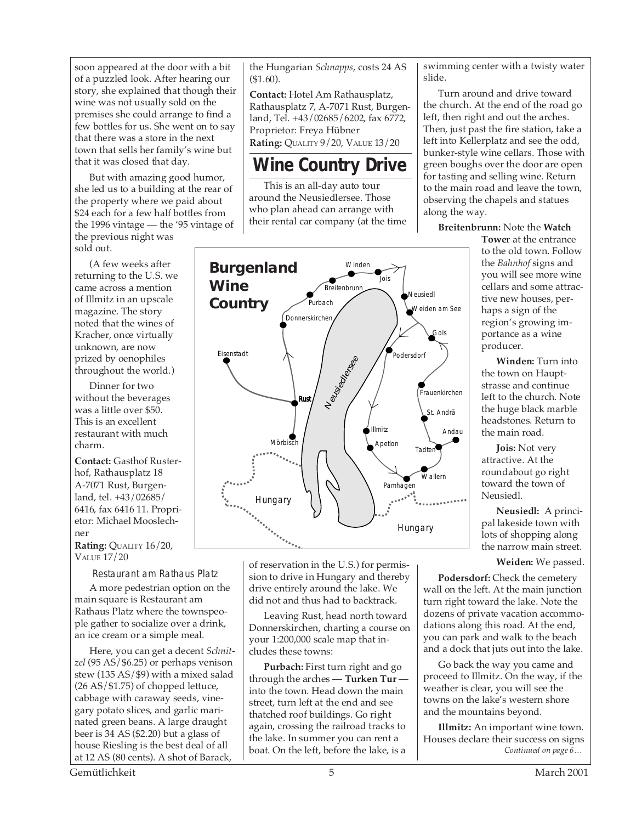soon appeared at the door with a bit of a puzzled look. After hearing our story, she explained that though their wine was not usually sold on the premises she could arrange to find a few bottles for us. She went on to say that there was a store in the next town that sells her family's wine but that it was closed that day.

But with amazing good humor, she led us to a building at the rear of the property where we paid about \$24 each for a few half bottles from the 1996 vintage — the '95 vintage of the previous night was sold out.

(A few weeks after returning to the U.S. we came across a mention of Illmitz in an upscale magazine. The story noted that the wines of Kracher, once virtually unknown, are now prized by oenophiles throughout the world.)

Dinner for two without the beverages was a little over \$50. This is an excellent restaurant with much charm.

**Contact:** Gasthof Rusterhof, Rathausplatz 18 A-7071 Rust, Burgenland, tel. +43/02685/ 6416, fax 6416 11. Proprietor: Michael Mooslechner

**Rating: QUALITY 16/20,** VALUE 17/20

Restaurant am Rathaus Platz

A more pedestrian option on the main square is Restaurant am Rathaus Platz where the townspeople gather to socialize over a drink, an ice cream or a simple meal.

Here, you can get a decent *Schnitzel* (95 AS/\$6.25) or perhaps venison stew (135 AS/\$9) with a mixed salad (26 AS/\$1.75) of chopped lettuce, cabbage with caraway seeds, vinegary potato slices, and garlic marinated green beans. A large draught beer is 34 AS (\$2.20) but a glass of house Riesling is the best deal of all at 12 AS (80 cents). A shot of Barack,

the Hungarian *Schnapps*, costs 24 AS (\$1.60).

**Contact:** Hotel Am Rathausplatz, Rathausplatz 7, A-7071 Rust, Burgenland, Tel. +43/02685/6202, fax 6772, Proprietor: Freya Hübner **Rating:** QUALITY 9/20, VALUE 13/20

### **Wine Country Drive**

This is an all-day auto tour around the Neusiedlersee. Those who plan ahead can arrange with their rental car company (at the time



of reservation in the U.S.) for permission to drive in Hungary and thereby drive entirely around the lake. We did not and thus had to backtrack.

Leaving Rust, head north toward Donnerskirchen, charting a course on your 1:200,000 scale map that includes these towns:

**Purbach:** First turn right and go through the arches — **Turken Tur** into the town. Head down the main street, turn left at the end and see thatched roof buildings. Go right again, crossing the railroad tracks to the lake. In summer you can rent a boat. On the left, before the lake, is a

swimming center with a twisty water slide.

Turn around and drive toward the church. At the end of the road go left, then right and out the arches. Then, just past the fire station, take a left into Kellerplatz and see the odd, bunker-style wine cellars. Those with green boughs over the door are open for tasting and selling wine. Return to the main road and leave the town, observing the chapels and statues along the way.

### **Breitenbrunn:** Note the **Watch**

**Tower** at the entrance to the old town. Follow the *Bahnhof* signs and you will see more wine cellars and some attractive new houses, perhaps a sign of the region's growing importance as a wine producer.

**Winden:** Turn into the town on Hauptstrasse and continue left to the church. Note the huge black marble headstones. Return to the main road.

**Jois:** Not very attractive. At the roundabout go right toward the town of Neusiedl.

**Neusiedl:** A principal lakeside town with lots of shopping along the narrow main street.

### **Weiden:** We passed.

**Podersdorf:** Check the cemetery wall on the left. At the main junction turn right toward the lake. Note the dozens of private vacation accommodations along this road. At the end, you can park and walk to the beach and a dock that juts out into the lake.

Go back the way you came and proceed to Illmitz. On the way, if the weather is clear, you will see the towns on the lake's western shore and the mountains beyond.

*Continued on page 6…* **Illmitz:** An important wine town. Houses declare their success on signs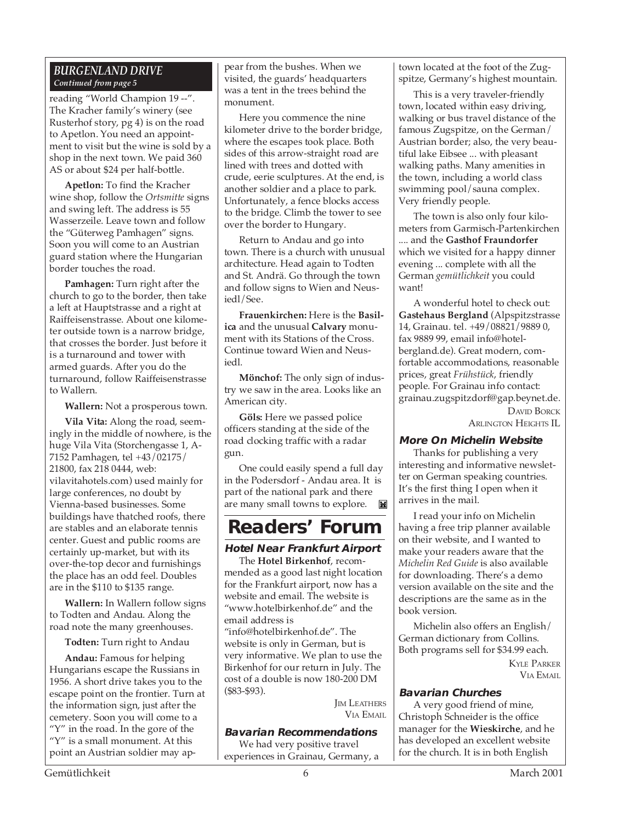### *BURGENLAND DRIVE Continued from page 5*

reading "World Champion 19 --". The Kracher family's winery (see Rusterhof story, pg 4) is on the road to Apetlon. You need an appointment to visit but the wine is sold by a shop in the next town. We paid 360 AS or about \$24 per half-bottle.

**Apetlon:** To find the Kracher wine shop, follow the *Ortsmitte* signs and swing left. The address is 55 Wasserzeile. Leave town and follow the "Güterweg Pamhagen" signs. Soon you will come to an Austrian guard station where the Hungarian border touches the road.

**Pamhagen:** Turn right after the church to go to the border, then take a left at Hauptstrasse and a right at Raiffeisenstrasse. About one kilometer outside town is a narrow bridge, that crosses the border. Just before it is a turnaround and tower with armed guards. After you do the turnaround, follow Raiffeisenstrasse to Wallern.

**Wallern:** Not a prosperous town.

**Vila Vita:** Along the road, seemingly in the middle of nowhere, is the huge Vila Vita (Storchengasse 1, A-7152 Pamhagen, tel +43/02175/ 21800, fax 218 0444, web: vilavitahotels.com) used mainly for large conferences, no doubt by Vienna-based businesses. Some buildings have thatched roofs, there are stables and an elaborate tennis center. Guest and public rooms are certainly up-market, but with its over-the-top decor and furnishings the place has an odd feel. Doubles are in the \$110 to \$135 range.

**Wallern:** In Wallern follow signs to Todten and Andau. Along the road note the many greenhouses.

**Todten:** Turn right to Andau

**Andau:** Famous for helping Hungarians escape the Russians in 1956. A short drive takes you to the escape point on the frontier. Turn at the information sign, just after the cemetery. Soon you will come to a " $Y$ " in the road. In the gore of the "Y" is a small monument. At this point an Austrian soldier may appear from the bushes. When we visited, the guards' headquarters was a tent in the trees behind the monument.

Here you commence the nine kilometer drive to the border bridge, where the escapes took place. Both sides of this arrow-straight road are lined with trees and dotted with crude, eerie sculptures. At the end, is another soldier and a place to park. Unfortunately, a fence blocks access to the bridge. Climb the tower to see over the border to Hungary.

Return to Andau and go into town. There is a church with unusual architecture. Head again to Todten and St. Andrä. Go through the town and follow signs to Wien and Neusiedl/See.

**Frauenkirchen:** Here is the **Basilica** and the unusual **Calvary** monument with its Stations of the Cross. Continue toward Wien and Neusiedl.

**Mönchof:** The only sign of industry we saw in the area. Looks like an American city.

**Göls:** Here we passed police officers standing at the side of the road clocking traffic with a radar gun.

One could easily spend a full day in the Podersdorf - Andau area. It is part of the national park and there are many small towns to explore.Ĭ.

### **Readers' Forum**

### **Hotel Near Frankfurt Airport**

The **Hotel Birkenhof**, recommended as a good last night location for the Frankfurt airport, now has a website and email. The website is "www.hotelbirkenhof.de" and the email address is

"info@hotelbirkenhof.de". The website is only in German, but is very informative. We plan to use the Birkenhof for our return in July. The cost of a double is now 180-200 DM (\$83-\$93).

> **IM LEATHERS** VIA EMAIL

### **Bavarian Recommendations**

We had very positive travel experiences in Grainau, Germany, a town located at the foot of the Zugspitze, Germany's highest mountain.

This is a very traveler-friendly town, located within easy driving, walking or bus travel distance of the famous Zugspitze, on the German/ Austrian border; also, the very beautiful lake Eibsee ... with pleasant walking paths. Many amenities in the town, including a world class swimming pool/sauna complex. Very friendly people.

The town is also only four kilometers from Garmisch-Partenkirchen .... and the **Gasthof Fraundorfer** which we visited for a happy dinner evening ... complete with all the German *gemütlichkeit* you could want!

A wonderful hotel to check out: **Gastehaus Bergland** (Alpspitzstrasse 14, Grainau. tel. +49/08821/9889 0, fax 9889 99, email info@hotelbergland.de). Great modern, comfortable accommodations, reasonable prices, great *Frühstück*, friendly people. For Grainau info contact: grainau.zugspitzdorf@gap.beynet.de. DAVID BORCK ARLINGTON HEIGHTS IL

**More On Michelin Website**

Thanks for publishing a very interesting and informative newsletter on German speaking countries. It's the first thing I open when it arrives in the mail.

I read your info on Michelin having a free trip planner available on their website, and I wanted to make your readers aware that the *Michelin Red Guide* is also available for downloading. There's a demo version available on the site and the descriptions are the same as in the book version.

Michelin also offers an English/ German dictionary from Collins. Both programs sell for \$34.99 each. KYLE PARKER

VIA EMAIL

### **Bavarian Churches**

A very good friend of mine, Christoph Schneider is the office manager for the **Wieskirche**, and he has developed an excellent website for the church. It is in both English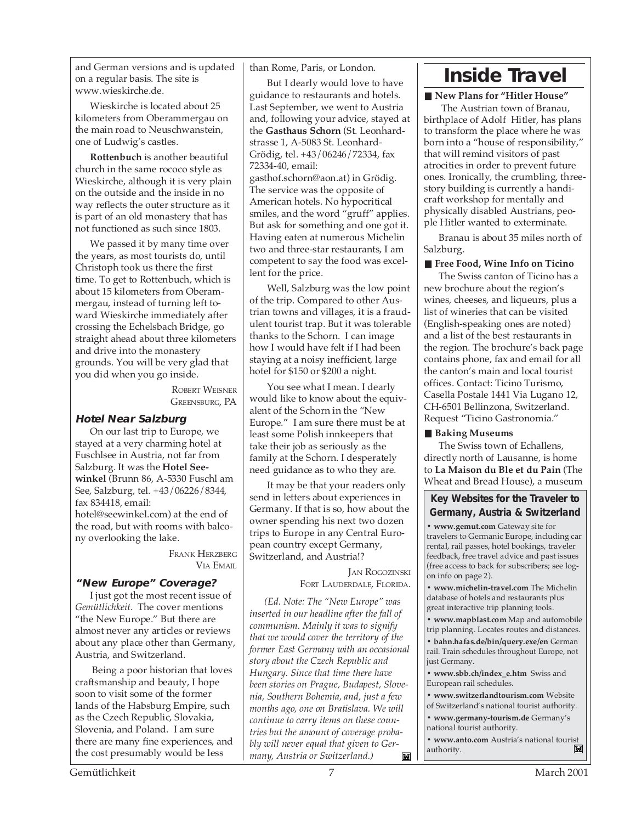and German versions and is updated on a regular basis. The site is www.wieskirche.de.

Wieskirche is located about 25 kilometers from Oberammergau on the main road to Neuschwanstein, one of Ludwig's castles.

**Rottenbuch** is another beautiful church in the same rococo style as Wieskirche, although it is very plain on the outside and the inside in no way reflects the outer structure as it is part of an old monastery that has not functioned as such since 1803.

We passed it by many time over the years, as most tourists do, until Christoph took us there the first time. To get to Rottenbuch, which is about 15 kilometers from Oberammergau, instead of turning left toward Wieskirche immediately after crossing the Echelsbach Bridge, go straight ahead about three kilometers and drive into the monastery grounds. You will be very glad that you did when you go inside.

> ROBERT WEISNER GREENSBURG, PA

### **Hotel Near Salzburg**

On our last trip to Europe, we stayed at a very charming hotel at Fuschlsee in Austria, not far from Salzburg. It was the **Hotel Seewinkel** (Brunn 86, A-5330 Fuschl am See, Salzburg, tel. +43/06226/8344, fax 834418, email: hotel@seewinkel.com) at the end of the road, but with rooms with balcony overlooking the lake.

> FRANK HERZBERG VIA EMAIL

### **"New Europe" Coverage?**

I just got the most recent issue of *Gemütlichkeit*. The cover mentions "the New Europe." But there are almost never any articles or reviews about any place other than Germany, Austria, and Switzerland.

 Being a poor historian that loves craftsmanship and beauty, I hope soon to visit some of the former lands of the Habsburg Empire, such as the Czech Republic, Slovakia, Slovenia, and Poland. I am sure there are many fine experiences, and the cost presumably would be less

than Rome, Paris, or London.

But I dearly would love to have guidance to restaurants and hotels. Last September, we went to Austria and, following your advice, stayed at the **Gasthaus Schorn** (St. Leonhardstrasse 1, A-5083 St. Leonhard-Grödig, tel. +43/06246/72334, fax 72334-40, email: gasthof.schorn@aon.at) in Grödig. The service was the opposite of American hotels. No hypocritical smiles, and the word "gruff" applies. But ask for something and one got it. Having eaten at numerous Michelin two and three-star restaurants, I am competent to say the food was excellent for the price.

 Well, Salzburg was the low point of the trip. Compared to other Austrian towns and villages, it is a fraudulent tourist trap. But it was tolerable thanks to the Schorn. I can image how I would have felt if I had been staying at a noisy inefficient, large hotel for \$150 or \$200 a night.

You see what I mean. I dearly would like to know about the equivalent of the Schorn in the "New Europe." I am sure there must be at least some Polish innkeepers that take their job as seriously as the family at the Schorn. I desperately need guidance as to who they are.

It may be that your readers only send in letters about experiences in Germany. If that is so, how about the owner spending his next two dozen trips to Europe in any Central European country except Germany, Switzerland, and Austria!?

> JAN ROGOZINSKI FORT LAUDERDALE, FLORIDA.

*(Ed. Note: The "New Europe" was inserted in our headline after the fall of communism. Mainly it was to signify that we would cover the territory of the former East Germany with an occasional story about the Czech Republic and Hungary. Since that time there have been stories on Prague, Budapest, Slovenia, Southern Bohemia, and, just a few months ago, one on Bratislava. We will continue to carry items on these countries but the amount of coverage probably will never equal that given to Germany, Austria or Switzerland.)*M

### **Inside Travel**

### ■ New Plans for "Hitler House"

 The Austrian town of Branau, birthplace of Adolf Hitler, has plans to transform the place where he was born into a "house of responsibility," that will remind visitors of past atrocities in order to prevent future ones. Ironically, the crumbling, threestory building is currently a handicraft workshop for mentally and physically disabled Austrians, people Hitler wanted to exterminate.

Branau is about 35 miles north of Salzburg.

### ■ Free Food, Wine Info on Ticino

The Swiss canton of Ticino has a new brochure about the region's wines, cheeses, and liqueurs, plus a list of wineries that can be visited (English-speaking ones are noted) and a list of the best restaurants in the region. The brochure's back page contains phone, fax and email for all the canton's main and local tourist offices. Contact: Ticino Turismo, Casella Postale 1441 Via Lugano 12, CH-6501 Bellinzona, Switzerland. Request "Ticino Gastronomia."

### ■ Baking Museums

The Swiss town of Echallens, directly north of Lausanne, is home to **La Maison du Ble et du Pain** (The Wheat and Bread House), a museum

**Key Websites for the Traveler to Germany, Austria & Switzerland**

**• www.gemut.com** Gateway site for travelers to Germanic Europe, including car rental, rail passes, hotel bookings, traveler feedback, free travel advice and past issues (free access to back for subscribers; see logon info on page 2).

**• www.michelin-travel.com** The Michelin database of hotels and restaurants plus great interactive trip planning tools.

**• www.mapblast.com** Map and automobile trip planning. Locates routes and distances.

**• bahn.hafas.de/bin/query.exe/en** German rail. Train schedules throughout Europe, not just Germany.

**• www.sbb.ch/index\_e.htm** Swiss and European rail schedules.

**• www.switzerlandtourism.com** Website

of Switzerland's national tourist authority.

**• www.germany-tourism.de** Germany's national tourist authority.

• **www.anto.com** Austria's national tourist<br>authority. authority.